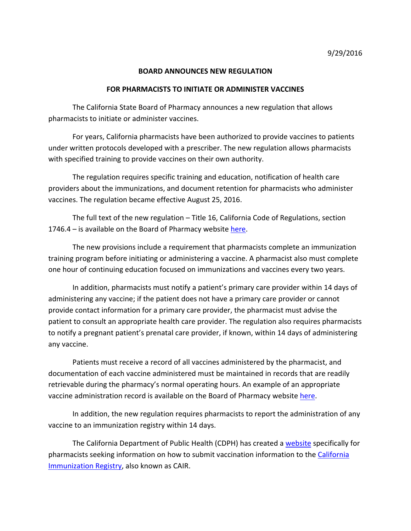## **BOARD ANNOUNCES NEW REGULATION**

## **FOR PHARMACISTS TO INITIATE OR ADMINISTER VACCINES**

 The California State Board of Pharmacy announces a new regulation that allows pharmacists to initiate or administer vaccines.

 under written protocols developed with a prescriber. The new regulation allows pharmacists with specified training to provide vaccines on their own authority. For years, California pharmacists have been authorized to provide vaccines to patients

 The regulation requires specific training and education, notification of health care providers about the immunizations, and document retention for pharmacists who administer vaccines. The regulation became effective August 25, 2016.

 The full text of the new regulation – Title 16, California Code of Regulations, section 1746.4 – is available on the Board of Pharmacy website here.

 The new provisions include a requirement that pharmacists complete an immunization training program before initiating or administering a vaccine. A pharmacist also must complete one hour of continuing education focused on immunizations and vaccines every two years.

 In addition, pharmacists must notify a patient's primary care provider within 14 days of administering any vaccine; if the patient does not have a primary care provider or cannot provide contact information for a primary care provider, the pharmacist must advise the patient to consult an appropriate health care provider. The regulation also requires pharmacists to notify a pregnant patient's prenatal care provider, if known, within 14 days of administering any vaccine.

 Patients must receive a record of all vaccines administered by the pharmacist, and documentation of each vaccine administered must be maintained in records that are readily retrievable during the pharmacy's normal operating hours. An example of an appropriate vaccineadministration record is available on the Board of Pharmacy website here.

 In addition, the new regulation requires pharmacists to report the administration of any vaccine to an immunization registry within 14 days.

The California Department of Public Health (CDPH) has created a website specifically for pharmacists seeking information on how to submit vaccination information to the California **Immunization Registry, also known as CAIR.**